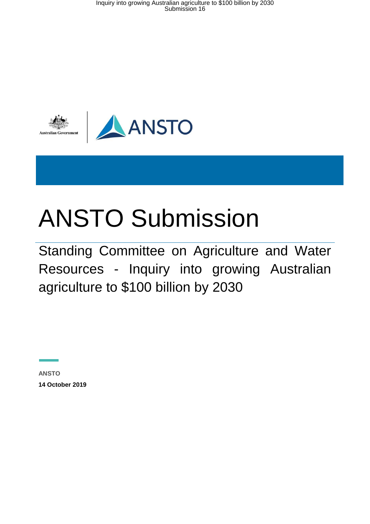Inquiry into growing Australian agriculture to \$100 billion by 2030 Submission 16



# ANSTO Submission

Standing Committee on Agriculture and Water Resources - Inquiry into growing Australian agriculture to \$100 billion by 2030

**ANSTO 14 October 2019**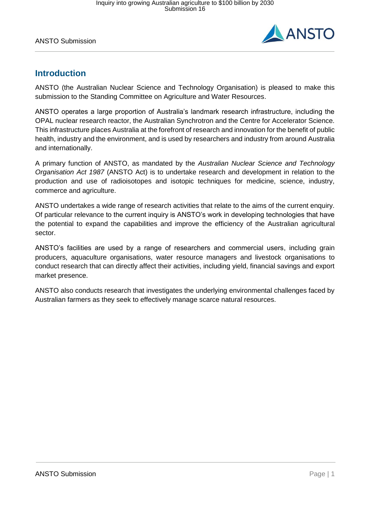

# **Introduction**

ANSTO (the Australian Nuclear Science and Technology Organisation) is pleased to make this submission to the Standing Committee on Agriculture and Water Resources.

ANSTO operates a large proportion of Australia's landmark research infrastructure, including the OPAL nuclear research reactor, the Australian Synchrotron and the Centre for Accelerator Science. This infrastructure places Australia at the forefront of research and innovation for the benefit of public health, industry and the environment, and is used by researchers and industry from around Australia and internationally.

A primary function of ANSTO, as mandated by the *Australian Nuclear Science and Technology Organisation Act 1987* (ANSTO Act) is to undertake research and development in relation to the production and use of radioisotopes and isotopic techniques for medicine, science, industry, commerce and agriculture.

ANSTO undertakes a wide range of research activities that relate to the aims of the current enquiry. Of particular relevance to the current inquiry is ANSTO's work in developing technologies that have the potential to expand the capabilities and improve the efficiency of the Australian agricultural sector.

ANSTO's facilities are used by a range of researchers and commercial users, including grain producers, aquaculture organisations, water resource managers and livestock organisations to conduct research that can directly affect their activities, including yield, financial savings and export market presence.

ANSTO also conducts research that investigates the underlying environmental challenges faced by Australian farmers as they seek to effectively manage scarce natural resources.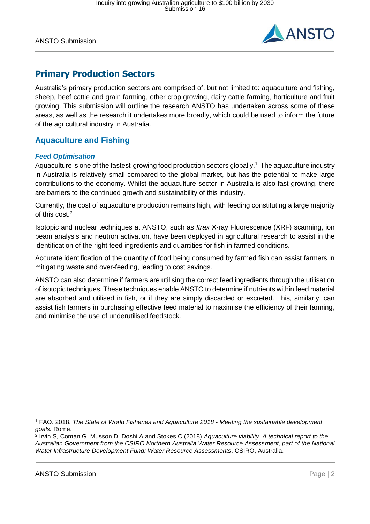

# **Primary Production Sectors**

Australia's primary production sectors are comprised of, but not limited to: aquaculture and fishing, sheep, beef cattle and grain farming, other crop growing, dairy cattle farming, horticulture and fruit growing. This submission will outline the research ANSTO has undertaken across some of these areas, as well as the research it undertakes more broadly, which could be used to inform the future of the agricultural industry in Australia.

# **Aquaculture and Fishing**

### *Feed Optimisation*

Aquaculture is one of the fastest-growing food production sectors globally. 1 The aquaculture industry in Australia is relatively small compared to the global market, but has the potential to make large contributions to the economy. Whilst the aquaculture sector in Australia is also fast-growing, there are barriers to the continued growth and sustainability of this industry.

Currently, the cost of aquaculture production remains high, with feeding constituting a large majority of this cost.<sup>2</sup>

Isotopic and nuclear techniques at ANSTO, such as *Itrax* X-ray Fluorescence (XRF) scanning, ion beam analysis and neutron activation, have been deployed in agricultural research to assist in the identification of the right feed ingredients and quantities for fish in farmed conditions.

Accurate identification of the quantity of food being consumed by farmed fish can assist farmers in mitigating waste and over-feeding, leading to cost savings.

ANSTO can also determine if farmers are utilising the correct feed ingredients through the utilisation of isotopic techniques. These techniques enable ANSTO to determine if nutrients within feed material are absorbed and utilised in fish, or if they are simply discarded or excreted. This, similarly, can assist fish farmers in purchasing effective feed material to maximise the efficiency of their farming, and minimise the use of underutilised feedstock.

-

<sup>1</sup> FAO. 2018. *The State of World Fisheries and Aquaculture 2018 - Meeting the sustainable development goals.* Rome.

<sup>2</sup> Irvin S, Coman G, Musson D, Doshi A and Stokes C (2018) *Aquaculture viability. A technical report to the Australian Government from the CSIRO Northern Australia Water Resource Assessment, part of the National Water Infrastructure Development Fund: Water Resource Assessments*. CSIRO, Australia.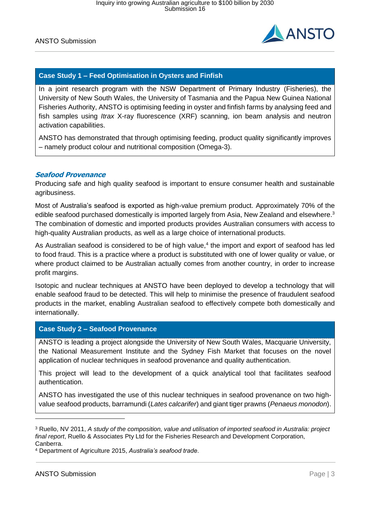

# **Case Study 1 – Feed Optimisation in Oysters and Finfish**

In a joint research program with the NSW Department of Primary Industry (Fisheries), the University of New South Wales, the University of Tasmania and the Papua New Guinea National Fisheries Authority, ANSTO is optimising feeding in oyster and finfish farms by analysing feed and fish samples using *Itrax* X-ray fluorescence (XRF) scanning, ion beam analysis and neutron activation capabilities.

ANSTO has demonstrated that through optimising feeding, product quality significantly improves – namely product colour and nutritional composition (Omega-3).

### **Seafood Provenance**

Producing safe and high quality seafood is important to ensure consumer health and sustainable agribusiness.

Most of Australia's seafood is exported as high-value premium product. Approximately 70% of the edible seafood purchased domestically is imported largely from Asia, New Zealand and elsewhere.<sup>3</sup> The combination of domestic and imported products provides Australian consumers with access to high-quality Australian products, as well as a large choice of international products.

As Australian seafood is considered to be of high value, 4 the import and export of seafood has led to food fraud. This is a practice where a product is substituted with one of lower quality or value, or where product claimed to be Australian actually comes from another country, in order to increase profit margins.

Isotopic and nuclear techniques at ANSTO have been deployed to develop a technology that will enable seafood fraud to be detected. This will help to minimise the presence of fraudulent seafood products in the market, enabling Australian seafood to effectively compete both domestically and internationally.

### **Case Study 2 – Seafood Provenance**

ANSTO is leading a project alongside the University of New South Wales, Macquarie University, the National Measurement Institute and the Sydney Fish Market that focuses on the novel application of nuclear techniques in seafood provenance and quality authentication.

This project will lead to the development of a quick analytical tool that facilitates seafood authentication.

ANSTO has investigated the use of this nuclear techniques in seafood provenance on two highvalue seafood products, barramundi (*Lates calcarifer*) and giant tiger prawns (*Penaeus monodon*).

<sup>4</sup> Department of Agriculture 2015, *Australia's seafood trade*.

-

<sup>3</sup> Ruello, NV 2011, *A study of the composition, value and utilisation of imported seafood in Australia: project final report*, Ruello & Associates Pty Ltd for the Fisheries Research and Development Corporation, Canberra.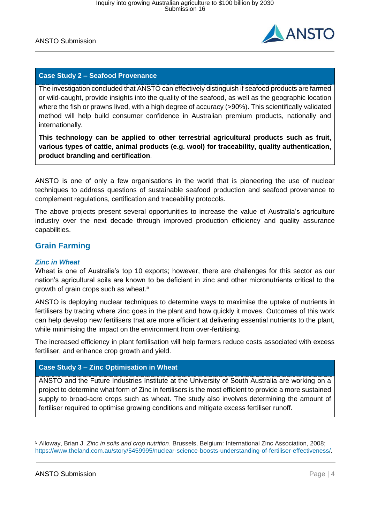

# **Case Study 2 – Seafood Provenance**

The investigation concluded that ANSTO can effectively distinguish if seafood products are farmed or wild-caught, provide insights into the quality of the seafood, as well as the geographic location where the fish or prawns lived, with a high degree of accuracy (>90%). This scientifically validated method will help build consumer confidence in Australian premium products, nationally and internationally.

**This technology can be applied to other terrestrial agricultural products such as fruit, various types of cattle, animal products (e.g. wool) for traceability, quality authentication, product branding and certification**.

ANSTO is one of only a few organisations in the world that is pioneering the use of nuclear techniques to address questions of sustainable seafood production and seafood provenance to complement regulations, certification and traceability protocols.

The above projects present several opportunities to increase the value of Australia's agriculture industry over the next decade through improved production efficiency and quality assurance capabilities.

# **Grain Farming**

### *Zinc in Wheat*

Wheat is one of Australia's top 10 exports; however, there are challenges for this sector as our nation's agricultural soils are known to be deficient in zinc and other micronutrients critical to the growth of grain crops such as wheat. 5

ANSTO is deploying nuclear techniques to determine ways to maximise the uptake of nutrients in fertilisers by tracing where zinc goes in the plant and how quickly it moves. Outcomes of this work can help develop new fertilisers that are more efficient at delivering essential nutrients to the plant, while minimising the impact on the environment from over-fertilising.

The increased efficiency in plant fertilisation will help farmers reduce costs associated with excess fertiliser, and enhance crop growth and yield.

# **Case Study 3 – Zinc Optimisation in Wheat**

ANSTO and the Future Industries Institute at the University of South Australia are working on a project to determine what form of Zinc in fertilisers is the most efficient to provide a more sustained supply to broad-acre crops such as wheat. The study also involves determining the amount of fertiliser required to optimise growing conditions and mitigate excess fertiliser runoff.

 $\overline{a}$ 

<sup>5</sup> Alloway, Brian J. *Zinc in soils and crop nutrition*. Brussels, Belgium: International Zinc Association, 2008; [https://www.theland.com.au/story/5459995/nuclear-science-boosts-understanding-of-fertiliser-effectiveness/.](https://www.theland.com.au/story/5459995/nuclear-science-boosts-understanding-of-fertiliser-effectiveness/)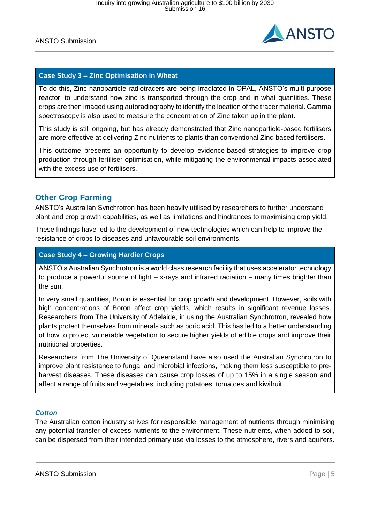

# **Case Study 3 – Zinc Optimisation in Wheat**

To do this, Zinc nanoparticle radiotracers are being irradiated in OPAL, ANSTO's multi-purpose reactor, to understand how zinc is transported through the crop and in what quantities. These crops are then imaged using autoradiography to identify the location of the tracer material. Gamma spectroscopy is also used to measure the concentration of Zinc taken up in the plant.

This study is still ongoing, but has already demonstrated that Zinc nanoparticle-based fertilisers are more effective at delivering Zinc nutrients to plants than conventional Zinc-based fertilisers.

This outcome presents an opportunity to develop evidence-based strategies to improve crop production through fertiliser optimisation, while mitigating the environmental impacts associated with the excess use of fertilisers.

# **Other Crop Farming**

ANSTO's Australian Synchrotron has been heavily utilised by researchers to further understand plant and crop growth capabilities, as well as limitations and hindrances to maximising crop yield.

These findings have led to the development of new technologies which can help to improve the resistance of crops to diseases and unfavourable soil environments.

# **Case Study 4 – Growing Hardier Crops**

ANSTO's Australian Synchrotron is a world class research facility that uses accelerator technology to produce a powerful source of light – x-rays and infrared radiation – many times brighter than the sun.

In very small quantities, Boron is essential for crop growth and development. However, soils with high concentrations of Boron affect crop yields, which results in significant revenue losses. Researchers from The University of Adelaide, in using the Australian Synchrotron, revealed how plants protect themselves from minerals such as boric acid. This has led to a better understanding of how to protect vulnerable vegetation to secure higher yields of edible crops and improve their nutritional properties.

Researchers from The University of Queensland have also used the Australian Synchrotron to improve plant resistance to fungal and microbial infections, making them less susceptible to preharvest diseases. These diseases can cause crop losses of up to 15% in a single season and affect a range of fruits and vegetables, including potatoes, tomatoes and kiwifruit.

### *Cotton*

The Australian cotton industry strives for responsible management of nutrients through minimising any potential transfer of excess nutrients to the environment. These nutrients, when added to soil, can be dispersed from their intended primary use via losses to the atmosphere, rivers and aquifers.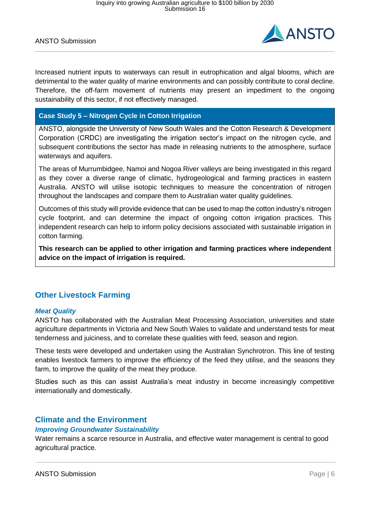

Increased nutrient inputs to waterways can result in eutrophication and algal blooms, which are detrimental to the water quality of marine environments and can possibly contribute to coral decline. Therefore, the off-farm movement of nutrients may present an impediment to the ongoing sustainability of this sector, if not effectively managed.

# **Case Study 5 – Nitrogen Cycle in Cotton Irrigation**

ANSTO, alongside the University of New South Wales and the Cotton Research & Development Corporation (CRDC) are investigating the irrigation sector's impact on the nitrogen cycle, and subsequent contributions the sector has made in releasing nutrients to the atmosphere, surface waterways and aquifers.

The areas of Murrumbidgee, Namoi and Nogoa River valleys are being investigated in this regard as they cover a diverse range of climatic, hydrogeological and farming practices in eastern Australia. ANSTO will utilise isotopic techniques to measure the concentration of nitrogen throughout the landscapes and compare them to Australian water quality guidelines.

Outcomes of this study will provide evidence that can be used to map the cotton industry's nitrogen cycle footprint, and can determine the impact of ongoing cotton irrigation practices. This independent research can help to inform policy decisions associated with sustainable irrigation in cotton farming.

**This research can be applied to other irrigation and farming practices where independent advice on the impact of irrigation is required.**

# **Other Livestock Farming**

### *Meat Quality*

ANSTO has collaborated with the Australian Meat Processing Association, universities and state agriculture departments in Victoria and New South Wales to validate and understand tests for meat tenderness and juiciness, and to correlate these qualities with feed, season and region.

These tests were developed and undertaken using the Australian Synchrotron. This line of testing enables livestock farmers to improve the efficiency of the feed they utilise, and the seasons they farm, to improve the quality of the meat they produce.

Studies such as this can assist Australia's meat industry in become increasingly competitive internationally and domestically.

# **Climate and the Environment**

### *Improving Groundwater Sustainability*

Water remains a scarce resource in Australia, and effective water management is central to good agricultural practice.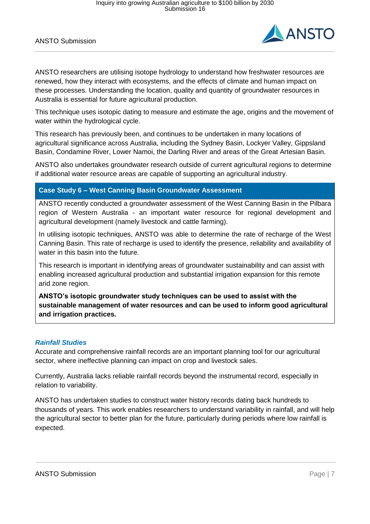

ANSTO researchers are utilising isotope hydrology to understand how freshwater resources are renewed, how they interact with ecosystems, and the effects of climate and human impact on these processes. Understanding the location, quality and quantity of groundwater resources in Australia is essential for future agricultural production.

This technique uses isotopic dating to measure and estimate the age, origins and the movement of water within the hydrological cycle.

This research has previously been, and continues to be undertaken in many locations of agricultural significance across Australia, including the Sydney Basin, Lockyer Valley, Gippsland Basin, Condamine River, Lower Namoi, the Darling River and areas of the Great Artesian Basin.

ANSTO also undertakes groundwater research outside of current agricultural regions to determine if additional water resource areas are capable of supporting an agricultural industry.

# **Case Study 6 – West Canning Basin Groundwater Assessment**

ANSTO recently conducted a groundwater assessment of the West Canning Basin in the Pilbara region of Western Australia - an important water resource for regional development and agricultural development (namely livestock and cattle farming).

In utilising isotopic techniques, ANSTO was able to determine the rate of recharge of the West Canning Basin. This rate of recharge is used to identify the presence, reliability and availability of water in this basin into the future.

This research is important in identifying areas of groundwater sustainability and can assist with enabling increased agricultural production and substantial irrigation expansion for this remote arid zone region.

**ANSTO's isotopic groundwater study techniques can be used to assist with the sustainable management of water resources and can be used to inform good agricultural and irrigation practices.**

### *Rainfall Studies*

Accurate and comprehensive rainfall records are an important planning tool for our agricultural sector, where ineffective planning can impact on crop and livestock sales.

Currently, Australia lacks reliable rainfall records beyond the instrumental record, especially in relation to variability.

ANSTO has undertaken studies to construct water history records dating back hundreds to thousands of years. This work enables researchers to understand variability in rainfall, and will help the agricultural sector to better plan for the future, particularly during periods where low rainfall is expected.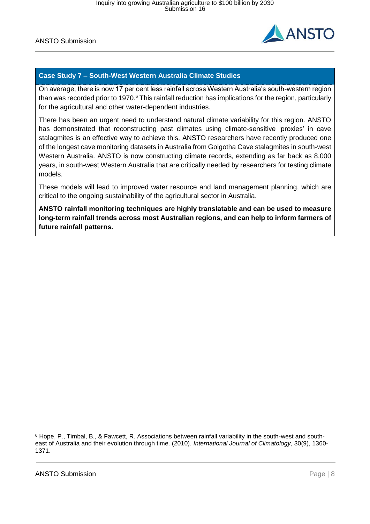

# **Case Study 7 – South-West Western Australia Climate Studies**

On average, there is now 17 per cent less rainfall across Western Australia's south-western region than was recorded prior to 1970.<sup>6</sup> This rainfall reduction has implications for the region, particularly for the agricultural and other water-dependent industries.

There has been an urgent need to understand natural climate variability for this region. ANSTO has demonstrated that reconstructing past climates using climate-sensitive 'proxies' in cave stalagmites is an effective way to achieve this. ANSTO researchers have recently produced one of the longest cave monitoring datasets in Australia from Golgotha Cave stalagmites in south-west Western Australia. ANSTO is now constructing climate records, extending as far back as 8,000 years, in south-west Western Australia that are critically needed by researchers for testing climate models.

These models will lead to improved water resource and land management planning, which are critical to the ongoing sustainability of the agricultural sector in Australia.

**ANSTO rainfall monitoring techniques are highly translatable and can be used to measure long-term rainfall trends across most Australian regions, and can help to inform farmers of future rainfall patterns.**

-

<sup>6</sup> Hope, P., Timbal, B., & Fawcett, R. Associations between rainfall variability in the south-west and southeast of Australia and their evolution through time. (2010). *International Journal of Climatology*, 30(9), 1360- 1371.